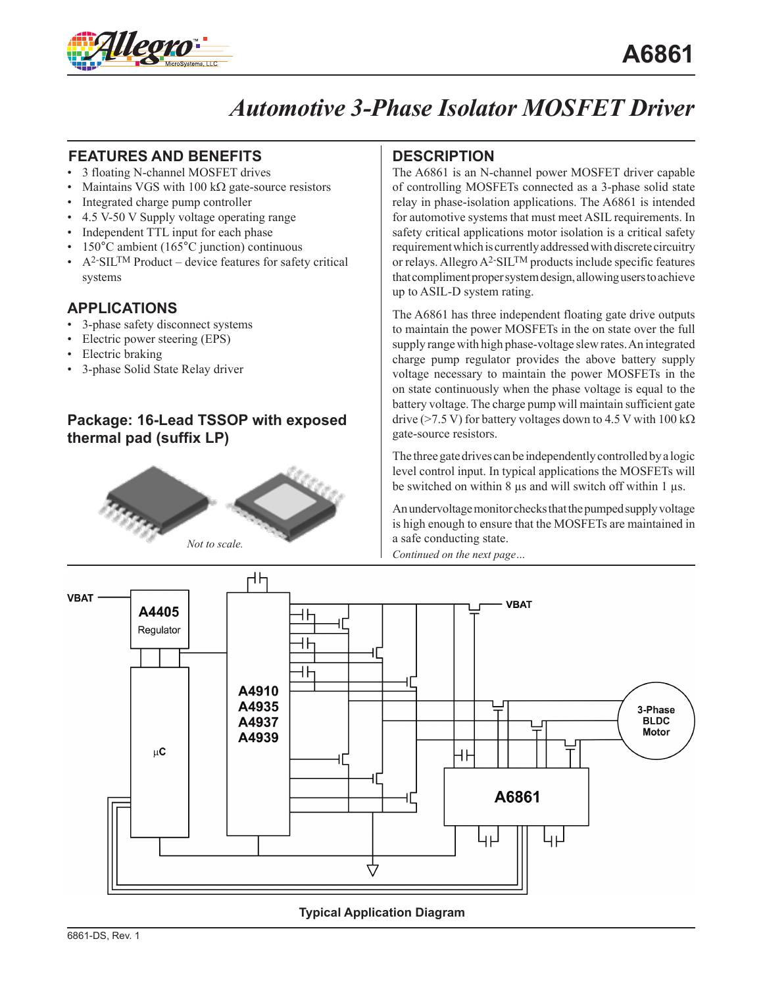

# *Automotive 3-Phase Isolator MOSFET Driver*

#### **FEATURES AND BENEFITS DESCRIPTION**

- 3 floating N-channel MOSFET drives
- Maintains VGS with 100 k $\Omega$  gate-source resistors
- Integrated charge pump controller
- 4.5 V-50 V Supply voltage operating range
- Independent TTL input for each phase
- 150°C ambient (165°C junction) continuous
- $A<sup>2</sup>$ -SIL<sup>TM</sup> Product device features for safety critical systems

#### **APPLICATIONS**

- 3-phase safety disconnect systems
- Electric power steering (EPS)
- Electric braking
- 3-phase Solid State Relay driver

#### **Package: 16-Lead TSSOP with exposed thermal pad (suffix LP)**



The A6861 is an N-channel power MOSFET driver capable of controlling MOSFETs connected as a 3-phase solid state relay in phase-isolation applications. The A6861 is intended for automotive systems that must meet ASIL requirements. In safety critical applications motor isolation is a critical safety requirement which is currently addressed with discrete circuitry or relays. Allegro  $A^2$ -SIL<sup>TM</sup> products include specific features that compliment proper system design, allowing users to achieve up to ASIL-D system rating.

The A6861 has three independent floating gate drive outputs to maintain the power MOSFETs in the on state over the full supply range with high phase-voltage slew rates. An integrated charge pump regulator provides the above battery supply voltage necessary to maintain the power MOSFETs in the on state continuously when the phase voltage is equal to the battery voltage. The charge pump will maintain sufficient gate drive (>7.5 V) for battery voltages down to 4.5 V with  $100 \text{ k}\Omega$ gate-source resistors.

The three gate drives can be independently controlled by a logic level control input. In typical applications the MOSFETs will be switched on within 8  $\mu$ s and will switch off within 1  $\mu$ s.

An undervoltage monitor checks that the pumped supply voltage is high enough to ensure that the MOSFETs are maintained in a safe conducting state.

*Continued on the next page…*



#### **Typical Application Diagram**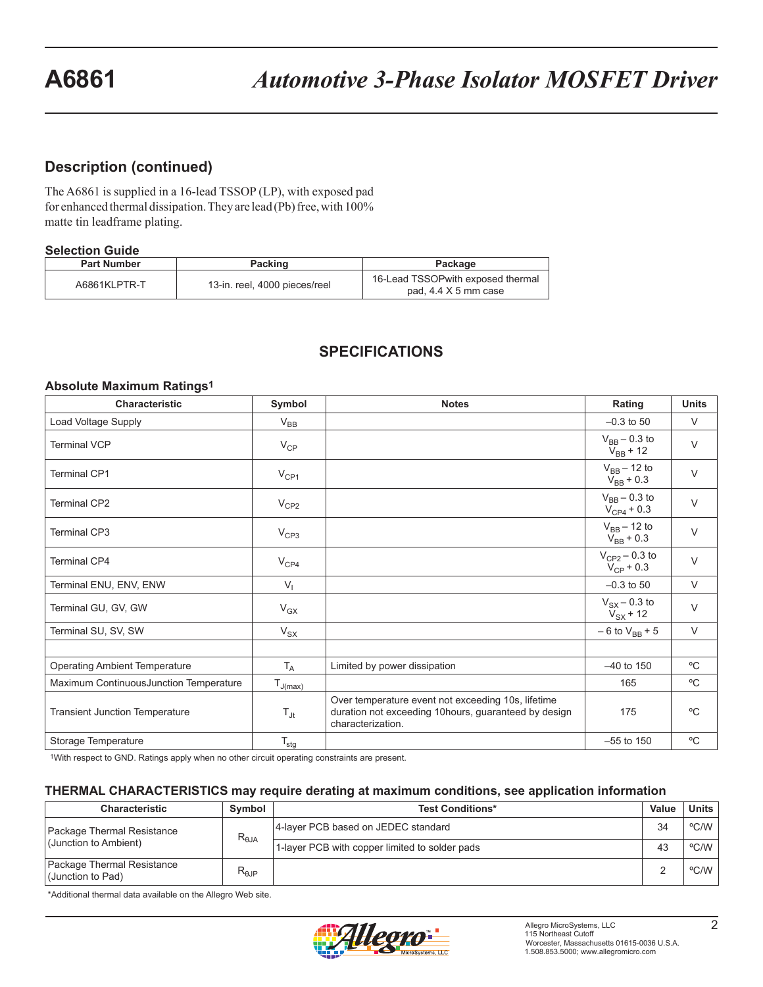#### **Description (continued)**

The A6861 is supplied in a 16-lead TSSOP (LP), with exposed pad for enhanced thermal dissipation. They are lead (Pb) free, with 100% matte tin leadframe plating.

#### **Selection Guide**

| <b>Part Number</b> | Packing                       | Package                                                           |
|--------------------|-------------------------------|-------------------------------------------------------------------|
| A6861KLPTR-T       | 13-in. reel, 4000 pieces/reel | 16-Lead TSSOP with exposed thermal<br>pad, $4.4 \times 5$ mm case |

#### **SPECIFICATIONS**

#### **Absolute Maximum Ratings1**

| <b>Characteristic</b>                  | Symbol           | <b>Notes</b>                                                                                                                           | Rating                               | <b>Units</b> |
|----------------------------------------|------------------|----------------------------------------------------------------------------------------------------------------------------------------|--------------------------------------|--------------|
| Load Voltage Supply                    | $V_{BB}$         |                                                                                                                                        | $-0.3$ to 50                         | $\vee$       |
| <b>Terminal VCP</b>                    | $V_{CP}$         |                                                                                                                                        | $V_{BB} - 0.3$ to<br>$V_{BB}$ + 12   | $\vee$       |
| <b>Terminal CP1</b>                    | $V_{CP1}$        |                                                                                                                                        | $V_{BB}$ – 12 to<br>$V_{BB}$ + 0.3   | $\vee$       |
| <b>Terminal CP2</b>                    | $V_{CP2}$        |                                                                                                                                        | $V_{BB}$ – 0.3 to<br>$V_{CP4}$ + 0.3 | $\vee$       |
| <b>Terminal CP3</b>                    | V <sub>CP3</sub> |                                                                                                                                        | $V_{BB}$ – 12 to<br>$V_{BB}$ + 0.3   | $\vee$       |
| <b>Terminal CP4</b>                    | $V_{CP4}$        |                                                                                                                                        | $V_{CP2} - 0.3$ to<br>$V_{CP}$ + 0.3 | $\vee$       |
| Terminal ENU, ENV, ENW                 | $V_{1}$          |                                                                                                                                        | $-0.3$ to 50                         | $\vee$       |
| Terminal GU, GV, GW                    | $V_{GX}$         |                                                                                                                                        | $V_{SX}$ – 0.3 to<br>$V_{SX}$ + 12   | $\vee$       |
| Terminal SU, SV, SW                    | $V_{SX}$         |                                                                                                                                        | $-6$ to $V_{BB}$ + 5                 | $\vee$       |
|                                        |                  |                                                                                                                                        |                                      |              |
| <b>Operating Ambient Temperature</b>   | $T_A$            | Limited by power dissipation                                                                                                           | $-40$ to 150                         | °C           |
| Maximum ContinuousJunction Temperature | $T_{J(max)}$     |                                                                                                                                        | 165                                  | $^{\circ}C$  |
| <b>Transient Junction Temperature</b>  | $T_{\text{Jt}}$  | Over temperature event not exceeding 10s, lifetime<br>duration not exceeding 10hours, guaranteed by design<br>175<br>characterization. |                                      | $^{\circ}C$  |
| Storage Temperature                    | $T_{\text{stg}}$ |                                                                                                                                        | $-55$ to 150                         | $^{\circ}$ C |

1With respect to GND. Ratings apply when no other circuit operating constraints are present.

#### **THERMAL CHARACTERISTICS may require derating at maximum conditions, see application information**

| <b>Characteristic</b>                               | Symbol          | <b>Test Conditions*</b>                        | Value | Units                  |
|-----------------------------------------------------|-----------------|------------------------------------------------|-------|------------------------|
| Package Thermal Resistance<br>(Junction to Ambient) | $R_{\theta JA}$ | 4-layer PCB based on JEDEC standard            | 34    | °C/W                   |
|                                                     |                 | 1-layer PCB with copper limited to solder pads | 43    | °C/W                   |
| Package Thermal Resistance<br>(Junction to Pad)     | $R_{\theta$ JP  |                                                |       | $^{\circ}$ C/W $\vert$ |

\*Additional thermal data available on the Allegro Web site.

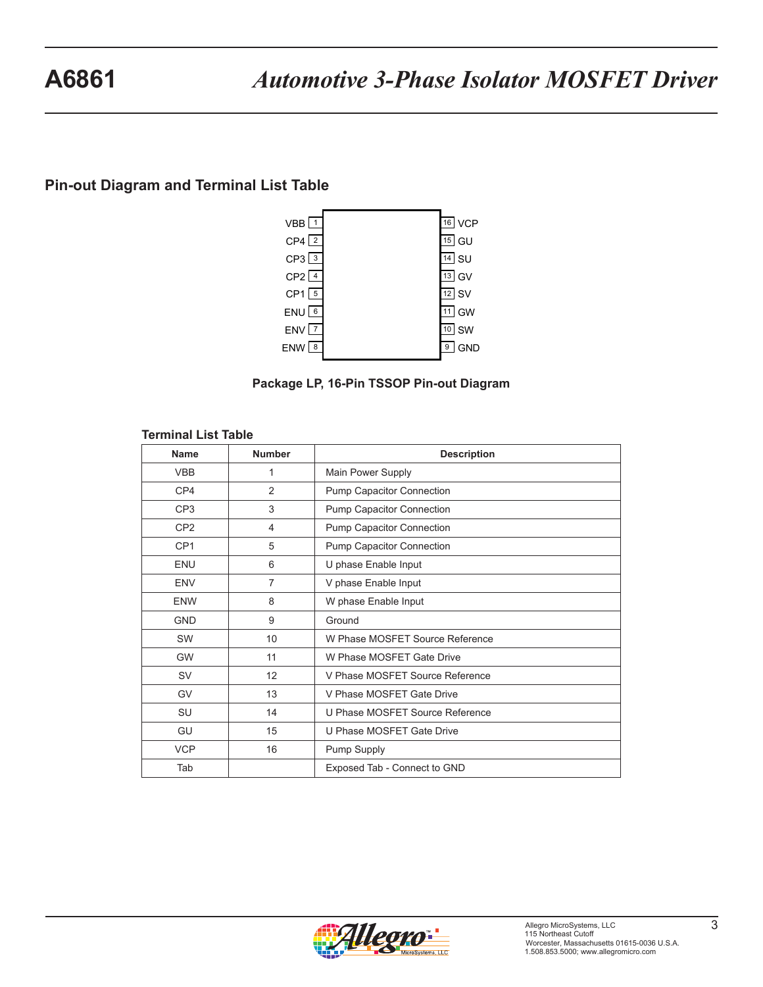#### **Pin-out Diagram and Terminal List Table**





#### **Terminal List Table**

| <b>Name</b>     | <b>Number</b>  | <b>Description</b>               |
|-----------------|----------------|----------------------------------|
| <b>VBB</b>      | 1              | Main Power Supply                |
| CP4             | 2              | Pump Capacitor Connection        |
| CP <sub>3</sub> | 3              | Pump Capacitor Connection        |
| CP <sub>2</sub> | $\overline{4}$ | Pump Capacitor Connection        |
| CP <sub>1</sub> | 5              | <b>Pump Capacitor Connection</b> |
| <b>ENU</b>      | 6              | U phase Enable Input             |
| <b>ENV</b>      | $\overline{7}$ | V phase Enable Input             |
| <b>ENW</b>      | 8              | W phase Enable Input             |
| <b>GND</b>      | 9              | Ground                           |
| <b>SW</b>       | 10             | W Phase MOSFET Source Reference  |
| <b>GW</b>       | 11             | W Phase MOSFET Gate Drive        |
| <b>SV</b>       | 12             | V Phase MOSFET Source Reference  |
| GV              | 13             | V Phase MOSFET Gate Drive        |
| SU              | 14             | U Phase MOSFET Source Reference  |
| GU              | 15             | U Phase MOSFET Gate Drive        |
| <b>VCP</b>      | 16             | Pump Supply                      |
| Tab             |                | Exposed Tab - Connect to GND     |

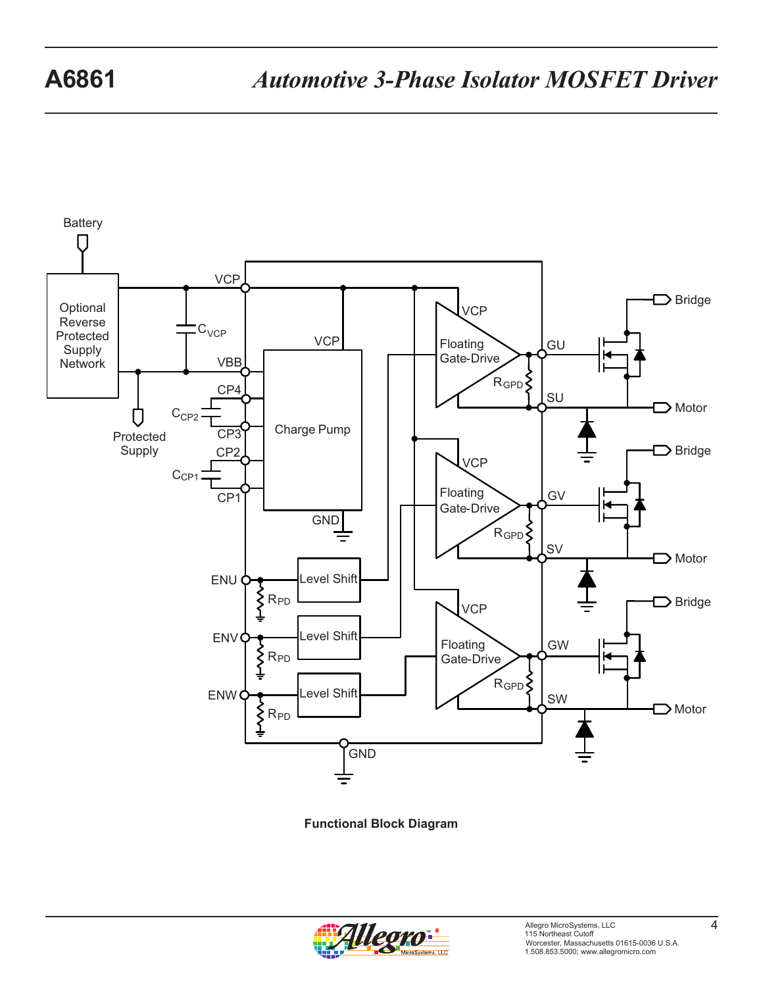

**Functional Block Diagram**

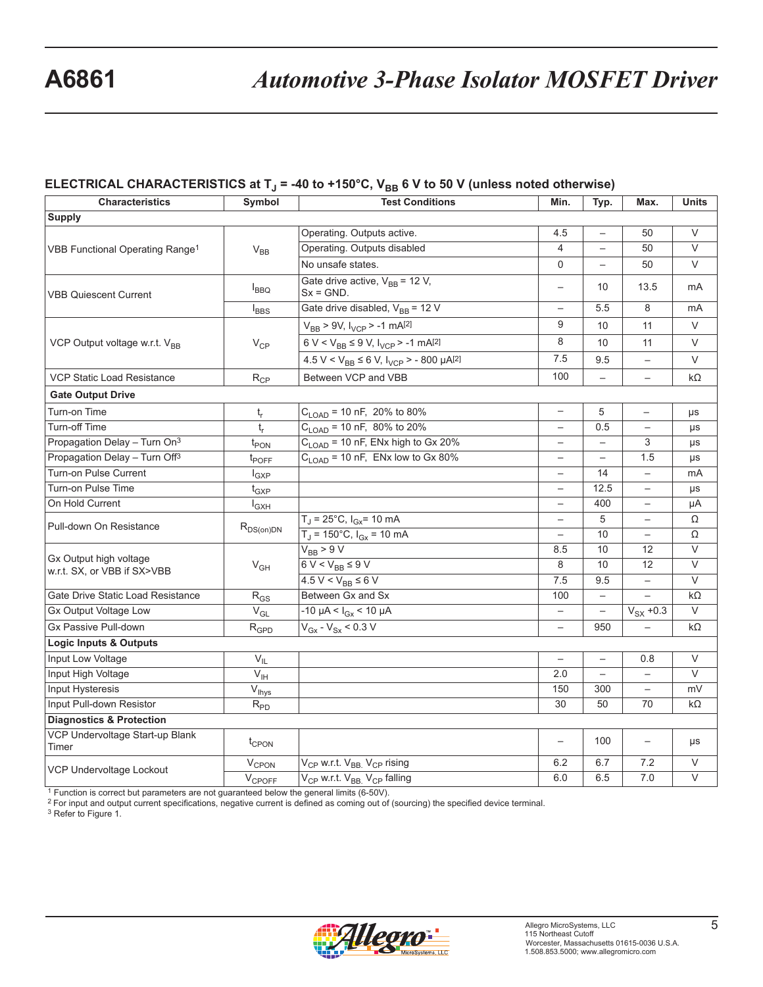#### ELECTRICAL CHARACTERISTICS at T<sub>J</sub> = -40 to +150°C, V<sub>BB</sub> 6 V to 50 V (unless noted otherwise)

| <b>Characteristics</b>                                | Symbol                        | <b>Test Conditions</b>                                          | Min.                     | Typ.                     | Max.                     | <b>Units</b>      |
|-------------------------------------------------------|-------------------------------|-----------------------------------------------------------------|--------------------------|--------------------------|--------------------------|-------------------|
| <b>Supply</b>                                         |                               |                                                                 |                          |                          |                          |                   |
| VBB Functional Operating Range <sup>1</sup>           | $V_{BB}$                      | Operating. Outputs active.                                      | 4.5                      |                          | 50                       | $\vee$            |
|                                                       |                               | Operating. Outputs disabled                                     | $\overline{4}$           |                          | 50                       | $\vee$            |
|                                                       |                               | No unsafe states.                                               | 0                        |                          | 50                       | V                 |
| <b>VBB Quiescent Current</b>                          | $I_{BBQ}$                     | Gate drive active, $V_{BB} = 12 V$ ,<br>$Sx = GND$ .            | $\overline{\phantom{0}}$ | 10                       | 13.5                     | mA                |
|                                                       | $I_{BBS}$                     | Gate drive disabled, $V_{BB}$ = 12 V                            |                          | 5.5                      | 8                        | mA                |
|                                                       | $V_{CP}$                      | $V_{BB}$ > 9V, $I_{VCP}$ > -1 mA[2]                             | 9                        | 10                       | 11                       | V                 |
| VCP Output voltage w.r.t. V <sub>BB</sub>             |                               | $6 V < V_{BB} \le 9 V$ , $I_{VCP} > -1$ mA <sup>[2]</sup>       | 8                        | 10                       | 11                       | V                 |
|                                                       |                               | $4.5 V < V_{BB} \le 6 V$ , $I_{VCP} > -800 \mu A^{[2]}$         | 7.5                      | 9.5                      | $\overline{\phantom{0}}$ | V                 |
| <b>VCP Static Load Resistance</b>                     | $R_{CP}$                      | Between VCP and VBB                                             | 100                      | $\qquad \qquad -$        | $\qquad \qquad -$        | $k\Omega$         |
| <b>Gate Output Drive</b>                              |                               |                                                                 |                          |                          |                          |                   |
| Turn-on Time                                          | t,                            | $C_{\text{LOAD}}$ = 10 nF, 20% to 80%                           | $\overline{\phantom{0}}$ | 5                        | $\qquad \qquad -$        | μs                |
| Turn-off Time                                         | $t_{r}$                       | $C_{\text{LOAD}}$ = 10 nF, 80% to 20%                           | $\overline{\phantom{0}}$ | 0.5                      | $\overline{\phantom{0}}$ | $\mu s$           |
| Propagation Delay - Turn On <sup>3</sup>              | $t_{PON}$                     | $C_{\text{LOAD}}$ = 10 nF, ENx high to Gx 20%                   | $\overline{\phantom{0}}$ |                          | 3                        | μs                |
| Propagation Delay - Turn Off <sup>3</sup>             | $t_{\text{POFF}}$             | $C_{LOAD}$ = 10 nF, ENx low to Gx 80%                           | $\overline{\phantom{0}}$ | $\overline{\phantom{0}}$ | 1.5                      | μs                |
| <b>Turn-on Pulse Current</b>                          | $I_{GXP}$                     |                                                                 | $\qquad \qquad -$        | 14                       | $\overline{\phantom{0}}$ | mA                |
| Turn-on Pulse Time                                    | $\mathfrak{t}_{\mathrm{GXP}}$ |                                                                 | $\overline{\phantom{0}}$ | 12.5                     | $\overline{\phantom{m}}$ | μs                |
| On Hold Current                                       | $I_{GXH}$                     |                                                                 |                          | 400                      |                          | μA                |
| Pull-down On Resistance                               |                               | $T_J = 25^{\circ}C$ , $I_{GX} = 10$ mA                          | $\overline{\phantom{0}}$ | 5                        |                          | Ω                 |
|                                                       | $R_{DS(on)DN}$                | $T_J = 150^{\circ}C$ , $I_{GX} = 10$ mA                         | $\overline{\phantom{0}}$ | 10                       | $\qquad \qquad -$        | Ω                 |
|                                                       | $V_{GH}$                      | $V_{BB}$ > $9V$                                                 | 8.5                      | 10                       | 12                       | V                 |
| Gx Output high voltage<br>w.r.t. SX, or VBB if SX>VBB |                               | $6 V < V_{BB} \leq 9 V$                                         | 8                        | 10                       | $\overline{12}$          | $\vee$            |
|                                                       |                               | $4.5 V < V_{BB} \le 6 V$                                        | 7.5                      | 9.5                      | $\overline{\phantom{0}}$ | $\vee$            |
| Gate Drive Static Load Resistance                     | $R_{GS}$                      | Between Gx and Sx                                               | 100                      |                          |                          | $k\Omega$         |
| Gx Output Voltage Low                                 | $V_{GL}$                      | $-10 \mu A < I_{Gx} < 10 \mu A$                                 |                          |                          | $V_{SX}$ +0.3            | $\vee$            |
| Gx Passive Pull-down                                  | $R_{\mathsf{GPD}}$            | $V_{\text{Gx}} - V_{\text{Sx}} < 0.3 V$                         | $\overline{\phantom{0}}$ | 950                      |                          | kΩ                |
| <b>Logic Inputs &amp; Outputs</b>                     |                               |                                                                 |                          |                          |                          |                   |
| Input Low Voltage                                     | $V_{IL}$                      |                                                                 | $\overline{\phantom{0}}$ | $\overline{\phantom{0}}$ | 0.8                      | $\vee$            |
| Input High Voltage                                    | $V_{\text{IH}}$               |                                                                 | 2.0                      | $\overline{\phantom{0}}$ | $\overline{\phantom{0}}$ | $\vee$            |
| Input Hysteresis                                      | $\overline{V}_{\text{Ihys}}$  |                                                                 | 150                      | 300                      | $\overline{\phantom{0}}$ | mV                |
| Input Pull-down Resistor                              | $R_{PD}$                      |                                                                 | 30                       | 50                       | 70                       | $k\Omega$         |
| <b>Diagnostics &amp; Protection</b>                   |                               |                                                                 |                          |                          |                          |                   |
| VCP Undervoltage Start-up Blank<br>Timer              | $t_{CPON}$                    |                                                                 | $\overline{\phantom{0}}$ | 100                      |                          | μs                |
| VCP Undervoltage Lockout                              | V <sub>CPON</sub>             | V <sub>CP</sub> w.r.t. V <sub>BB.</sub> V <sub>CP</sub> rising  | 6.2                      | 6.7                      | 7.2                      | V                 |
|                                                       | $V_{\text{CPOFF}}$            | V <sub>CP</sub> w.r.t. V <sub>BB.</sub> V <sub>CP</sub> falling | 6.0                      | 6.5                      | 7.0                      | $\overline{\vee}$ |

1 Function is correct but parameters are not guaranteed below the general limits (6-50V).

2 For input and output current specifications, negative current is defined as coming out of (sourcing) the specified device terminal.

3 Refer to Figure 1.

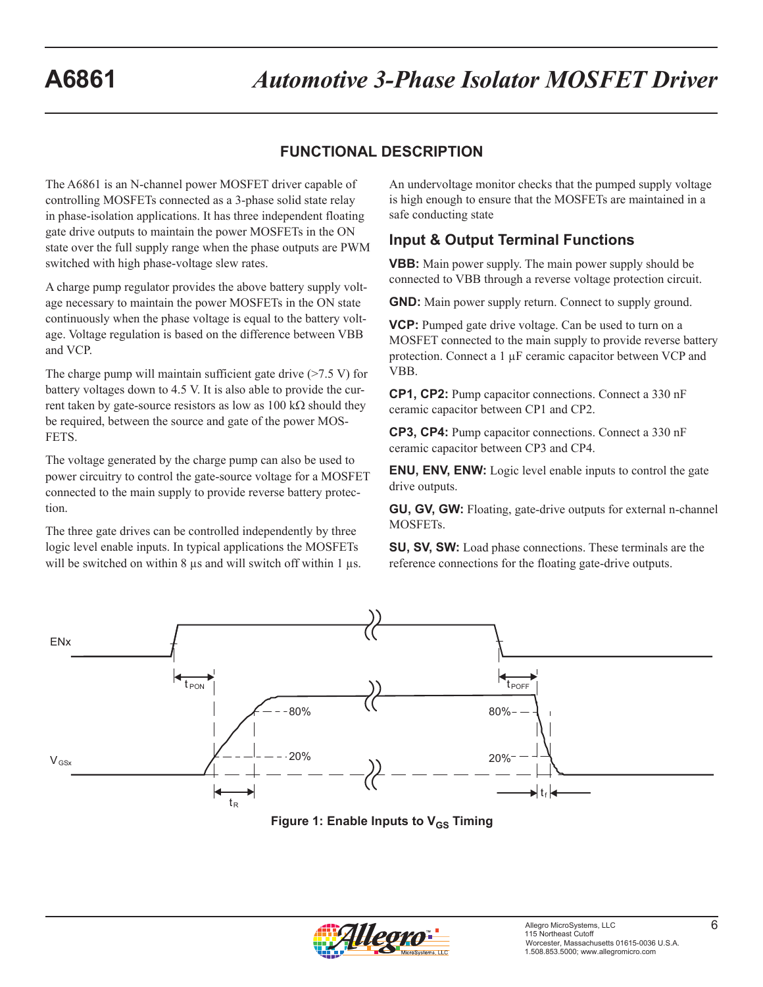## **FUNCTIONAL DESCRIPTION**

The A6861 is an N-channel power MOSFET driver capable of controlling MOSFETs connected as a 3-phase solid state relay in phase-isolation applications. It has three independent floating gate drive outputs to maintain the power MOSFETs in the ON state over the full supply range when the phase outputs are PWM switched with high phase-voltage slew rates.

A charge pump regulator provides the above battery supply voltage necessary to maintain the power MOSFETs in the ON state continuously when the phase voltage is equal to the battery voltage. Voltage regulation is based on the difference between VBB and VCP.

The charge pump will maintain sufficient gate drive (>7.5 V) for battery voltages down to 4.5 V. It is also able to provide the current taken by gate-source resistors as low as 100 kΩ should they be required, between the source and gate of the power MOS-FETS.

The voltage generated by the charge pump can also be used to power circuitry to control the gate-source voltage for a MOSFET connected to the main supply to provide reverse battery protection.

The three gate drives can be controlled independently by three logic level enable inputs. In typical applications the MOSFETs will be switched on within 8  $\mu$ s and will switch off within 1  $\mu$ s. An undervoltage monitor checks that the pumped supply voltage is high enough to ensure that the MOSFETs are maintained in a safe conducting state

#### **Input & Output Terminal Functions**

**VBB:** Main power supply. The main power supply should be connected to VBB through a reverse voltage protection circuit.

**GND:** Main power supply return. Connect to supply ground.

**VCP:** Pumped gate drive voltage. Can be used to turn on a MOSFET connected to the main supply to provide reverse battery protection. Connect a 1 µF ceramic capacitor between VCP and VBB.

**CP1, CP2:** Pump capacitor connections. Connect a 330 nF ceramic capacitor between CP1 and CP2.

**CP3, CP4:** Pump capacitor connections. Connect a 330 nF ceramic capacitor between CP3 and CP4.

**ENU, ENV, ENW:** Logic level enable inputs to control the gate drive outputs.

**GU, GV, GW:** Floating, gate-drive outputs for external n-channel MOSFETs.

**SU, SV, SW:** Load phase connections. These terminals are the reference connections for the floating gate-drive outputs.



**Figure 1: Enable Inputs to V<sub>GS</sub> Timing** 

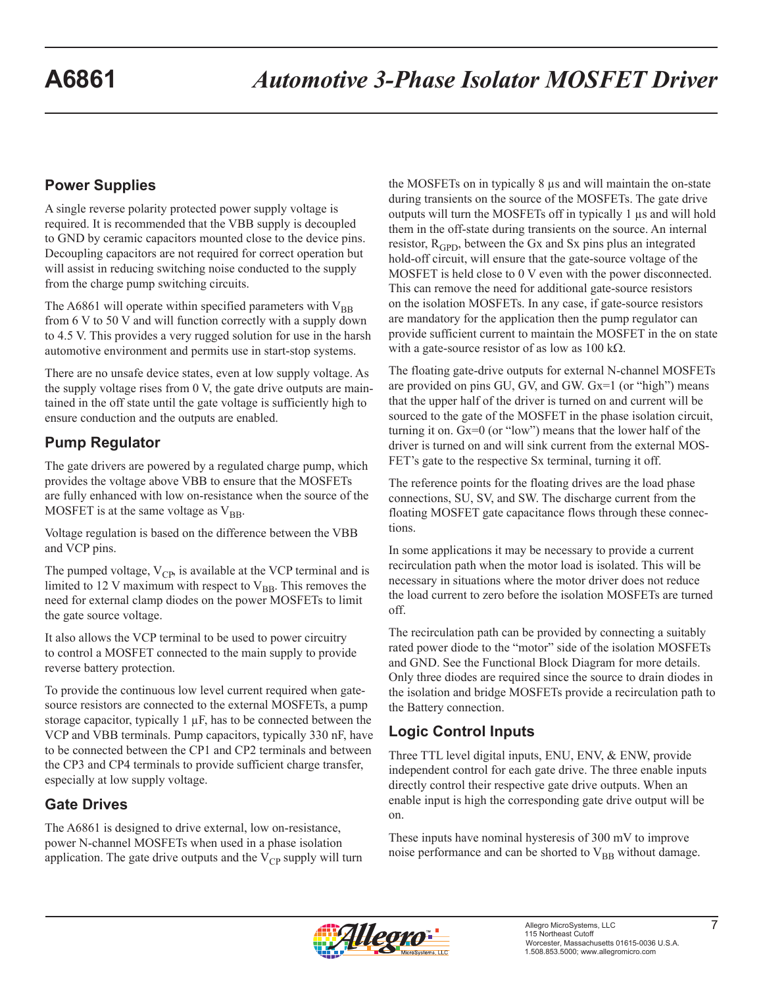# **Power Supplies**

A single reverse polarity protected power supply voltage is required. It is recommended that the VBB supply is decoupled to GND by ceramic capacitors mounted close to the device pins. Decoupling capacitors are not required for correct operation but will assist in reducing switching noise conducted to the supply from the charge pump switching circuits.

The A6861 will operate within specified parameters with  $V_{BB}$ from 6 V to 50 V and will function correctly with a supply down to 4.5 V. This provides a very rugged solution for use in the harsh automotive environment and permits use in start-stop systems.

There are no unsafe device states, even at low supply voltage. As the supply voltage rises from 0 V, the gate drive outputs are maintained in the off state until the gate voltage is sufficiently high to ensure conduction and the outputs are enabled.

# **Pump Regulator**

The gate drivers are powered by a regulated charge pump, which provides the voltage above VBB to ensure that the MOSFETs are fully enhanced with low on-resistance when the source of the MOSFET is at the same voltage as  $V_{BB}$ .

Voltage regulation is based on the difference between the VBB and VCP pins.

The pumped voltage,  $V_{CP}$ , is available at the VCP terminal and is limited to 12 V maximum with respect to  $V_{BB}$ . This removes the need for external clamp diodes on the power MOSFETs to limit the gate source voltage.

It also allows the VCP terminal to be used to power circuitry to control a MOSFET connected to the main supply to provide reverse battery protection.

To provide the continuous low level current required when gatesource resistors are connected to the external MOSFETs, a pump storage capacitor, typically 1 µF, has to be connected between the VCP and VBB terminals. Pump capacitors, typically 330 nF, have to be connected between the CP1 and CP2 terminals and between the CP3 and CP4 terminals to provide sufficient charge transfer, especially at low supply voltage.

# **Gate Drives**

The A6861 is designed to drive external, low on-resistance, power N-channel MOSFETs when used in a phase isolation application. The gate drive outputs and the  $V_{CP}$  supply will turn the MOSFETs on in typically 8 µs and will maintain the on-state during transients on the source of the MOSFETs. The gate drive outputs will turn the MOSFETs off in typically 1 µs and will hold them in the off-state during transients on the source. An internal resistor,  $R_{GPD}$ , between the Gx and Sx pins plus an integrated hold-off circuit, will ensure that the gate-source voltage of the MOSFET is held close to 0 V even with the power disconnected. This can remove the need for additional gate-source resistors on the isolation MOSFETs. In any case, if gate-source resistors are mandatory for the application then the pump regulator can provide sufficient current to maintain the MOSFET in the on state with a gate-source resistor of as low as  $100 \text{ k}\Omega$ .

The floating gate-drive outputs for external N-channel MOSFETs are provided on pins GU, GV, and GW. Gx=1 (or "high") means that the upper half of the driver is turned on and current will be sourced to the gate of the MOSFET in the phase isolation circuit, turning it on. Gx=0 (or "low") means that the lower half of the driver is turned on and will sink current from the external MOS-FET's gate to the respective Sx terminal, turning it off.

The reference points for the floating drives are the load phase connections, SU, SV, and SW. The discharge current from the floating MOSFET gate capacitance flows through these connections.

In some applications it may be necessary to provide a current recirculation path when the motor load is isolated. This will be necessary in situations where the motor driver does not reduce the load current to zero before the isolation MOSFETs are turned off.

The recirculation path can be provided by connecting a suitably rated power diode to the "motor" side of the isolation MOSFETs and GND. See the Functional Block Diagram for more details. Only three diodes are required since the source to drain diodes in the isolation and bridge MOSFETs provide a recirculation path to the Battery connection.

# **Logic Control Inputs**

Three TTL level digital inputs, ENU, ENV, & ENW, provide independent control for each gate drive. The three enable inputs directly control their respective gate drive outputs. When an enable input is high the corresponding gate drive output will be on.

These inputs have nominal hysteresis of 300 mV to improve noise performance and can be shorted to  $V_{BB}$  without damage.

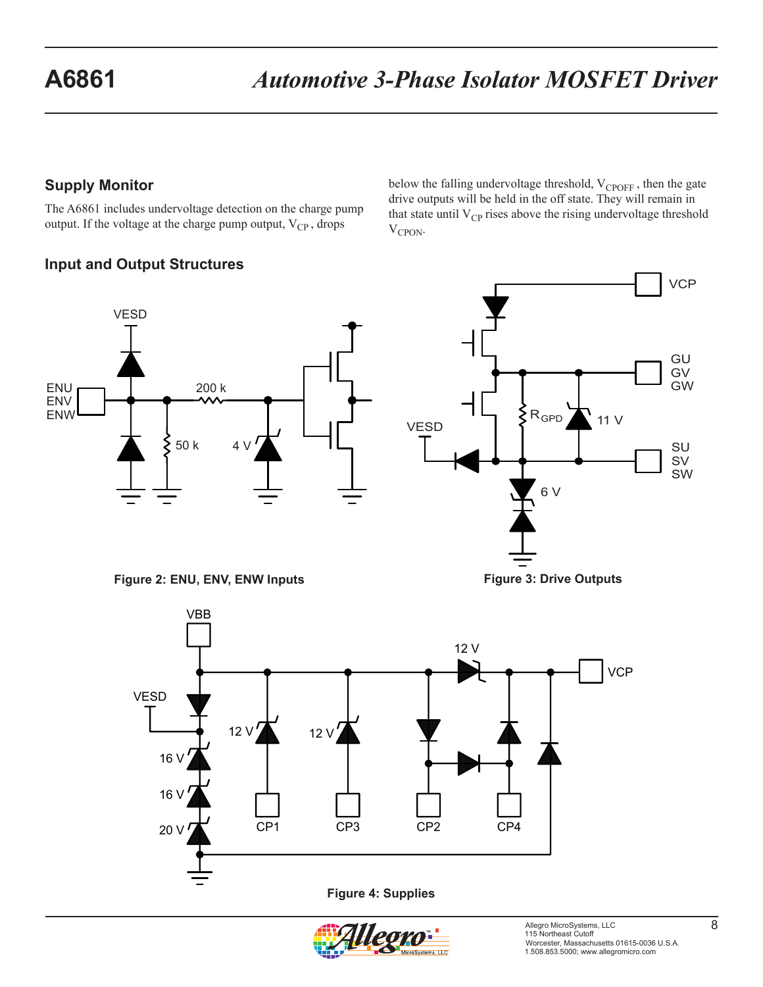## **Supply Monitor**

The A6861 includes undervoltage detection on the charge pump output. If the voltage at the charge pump output,  $V_{CP}$ , drops

# **Input and Output Structures**

VESD ENU ENV ENW 200 k 50 k 4 V

**Figure 2: ENU, ENV, ENW Inputs**





below the falling undervoltage threshold,  $V_{CPOFF}$ , then the gate drive outputs will be held in the off state. They will remain in that state until  $V_{CP}$  rises above the rising undervoltage threshold  $V_{CPON}$ .



**Figure 3: Drive Outputs**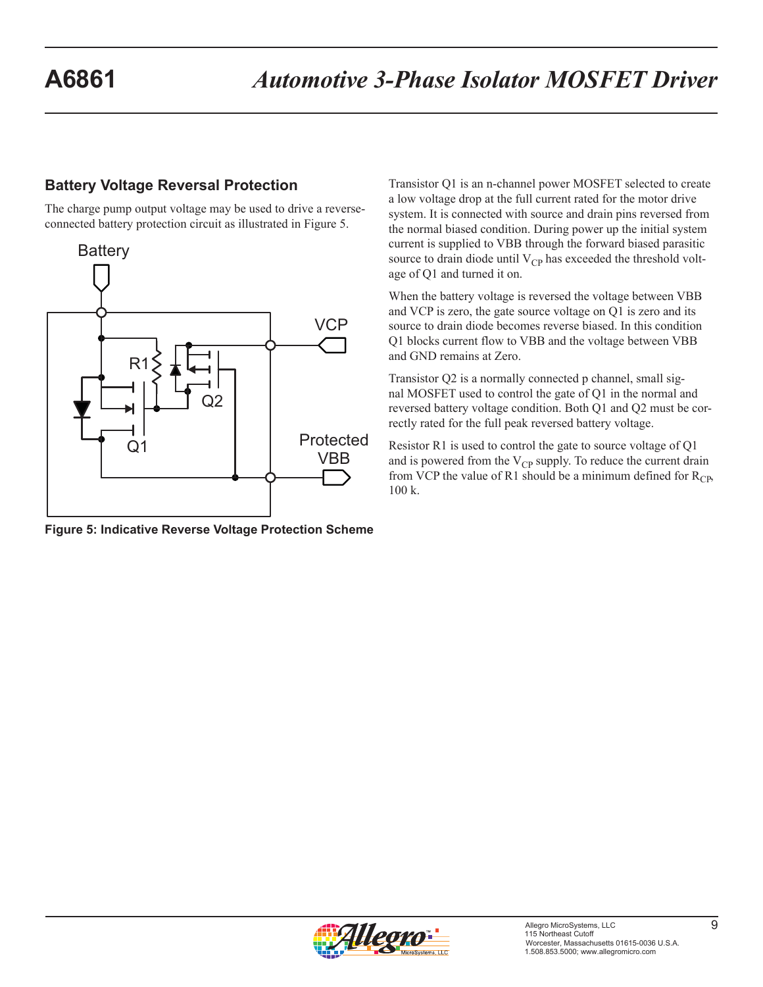#### **Battery Voltage Reversal Protection**

The charge pump output voltage may be used to drive a reverseconnected battery protection circuit as illustrated in Figure 5.



**Figure 5: Indicative Reverse Voltage Protection Scheme**

Transistor Q1 is an n-channel power MOSFET selected to create a low voltage drop at the full current rated for the motor drive system. It is connected with source and drain pins reversed from the normal biased condition. During power up the initial system current is supplied to VBB through the forward biased parasitic source to drain diode until  $V_{CP}$  has exceeded the threshold voltage of Q1 and turned it on.

When the battery voltage is reversed the voltage between VBB and VCP is zero, the gate source voltage on Q1 is zero and its source to drain diode becomes reverse biased. In this condition Q1 blocks current flow to VBB and the voltage between VBB and GND remains at Zero.

Transistor Q2 is a normally connected p channel, small signal MOSFET used to control the gate of Q1 in the normal and reversed battery voltage condition. Both Q1 and Q2 must be correctly rated for the full peak reversed battery voltage.

Resistor R1 is used to control the gate to source voltage of Q1 and is powered from the  $V_{CP}$  supply. To reduce the current drain from VCP the value of R1 should be a minimum defined for  $R_{CP}$ , 100 k.

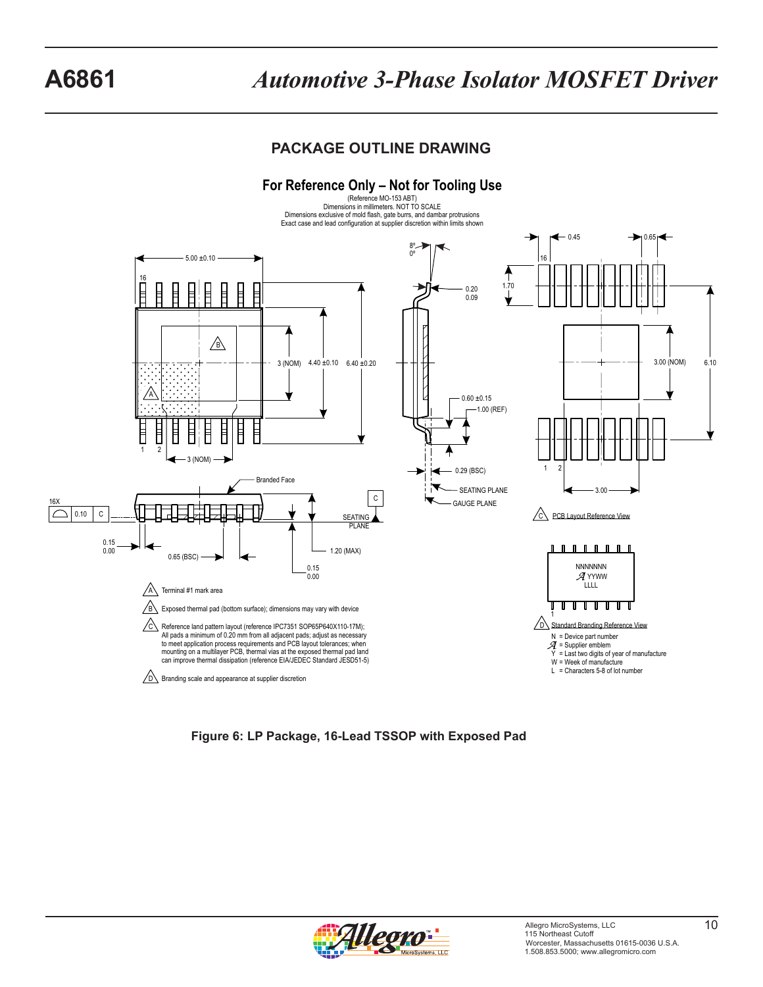# **A6861** *Automotive 3-Phase Isolator MOSFET Driver*

# **PACKAGE OUTLINE DRAWING**



**Figure 6: LP Package, 16-Lead TSSOP with Exposed Pad**